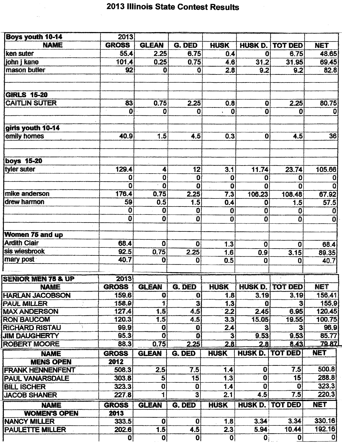## 2013 Illinois State Contest Results

| <b>Boys youth 10-14</b>       | 2013             |                  |                         |                         |                         |                |              |
|-------------------------------|------------------|------------------|-------------------------|-------------------------|-------------------------|----------------|--------------|
| <b>NAME</b>                   | <b>GROSS</b>     | <b>GLEAN</b>     | G. DED                  | <b>HUSK</b>             | HUSK D.                 | <b>TOT DED</b> | <b>NET</b>   |
| ken suter                     | 55.4             | 2.25             | 6.75                    | 0.4                     | $\mathbf 0$             | 6.75           | 48.65        |
| iohn i kane                   | 101.4            | 0.25             | 0.75                    | 4.6                     | 31.2                    | 31.95          | 69.45        |
| mason butler                  | 92               | 0                | $\mathbf 0$             | 2.8                     | 9.2                     | 9.2            | 82.8         |
| <b>GIRLS 15-20</b>            |                  |                  |                         |                         |                         |                |              |
| <b>CAITLIN SUTER</b>          | 83               | 0.75             | 2.25                    | 0.8                     | $\mathbf 0$             | 2.25           | 80.75        |
|                               | $\mathbf{0}$     | 0                | 0                       | $\mathbf 0$             | $\mathbf{0}$            | 0              | 0            |
| girls youth 10-14             |                  |                  |                         |                         |                         |                |              |
| emily homes                   | 40.9             | 1.5              | 4.5                     | 0.3                     | $\mathbf 0$             | 4.5            | 36           |
| <b>boys 15-20</b>             |                  |                  |                         |                         |                         |                |              |
| tyler suter                   | 129.4            | 4                | 12                      | 3.1                     | 11.74                   | 23.74          | 105.66       |
|                               | 0                | 0                | $\mathbf 0$             | 0                       | 0                       | 0              | 0            |
|                               | $\Omega$         | $\overline{0}$   | $\mathbf{0}$            | 0                       | 0                       | $\mathbf{0}$   | $\Omega$     |
| mike anderson                 | 176.4            | 0.75             | 2.25                    | 7.3                     | 106.23                  | 108.48         | 67.92        |
| drew harmon                   | 59               | 0.5              | 1.5                     | 0.4                     | 0                       | 1.5            | 57.5         |
|                               | 0                | $\overline{0}$   | 0                       | 0                       | $\bf{0}$                | 0              | $\bf{0}$     |
|                               | $\boldsymbol{0}$ | $\mathbf 0$      | 0                       | 0                       | $\overline{\mathbf{0}}$ | $\mathbf{0}$   | ۵            |
| Women 75 and up               |                  |                  |                         |                         |                         |                |              |
| <b>Ardith Clair</b>           | 68.4             | O                | $\mathbf{0}$            | 1.3                     | $\bf{0}$                | $\mathbf 0$    | 68.4         |
| sis wiesbrook                 | 92.5             | 0.75             | 2.25                    | 1.6                     | 0.9                     | 3.15           | 89.35        |
| mary post                     | 40.7             | 0                | $\mathbf 0$             | 0.5                     | 0                       | $\mathbf{0}$   | 40.7         |
| <b>SENIOR MEN 75 &amp; UP</b> | 2013             |                  |                         |                         |                         |                |              |
| <b>NAME</b>                   | <b>GROSS</b>     | <b>GLEAN</b>     | G. DED                  | <b>HUSK</b>             | <b>HUSK D.</b>          | <b>TOT DED</b> | <b>NET</b>   |
| <b>HARLAN JACOBSON</b>        | 159.6            | O                | $\mathbf{Q}$            | 1.8                     | 3.19                    | 3.19           | 156.41       |
| <b>PAUL MILLER</b>            | 158.9            | $\ddagger$       | $\overline{\mathbf{3}}$ | 1.3                     | $\mathbf{0}$            | 3              | 155.9        |
| <b>MAX ANDERSON</b>           | 127.4            | $\overline{1.5}$ | 4.5                     | 2.2                     | 2.45                    | 6.95           | 120.45       |
| <b>RON BAUCOM</b>             | 120.3            | 1.5              | 4.5                     | 3.3                     | 15.05                   | 19.55          | 100.75       |
| <b>RICHARD RISTAU</b>         | 99.9             | $\bf{0}$         | $\mathbf{0}$            | 2.4                     | 3                       | 3              | 96.9         |
| <b>JIM DAUGHERTY</b>          | 95.3             | $\mathbf{O}$     | $\Omega$                | $\overline{\mathbf{3}}$ | 9.53                    | 9.53           | 85.77        |
| <b>ROBERT MOORE</b>           | 88.3             | 0.75             | 2.25                    | 2.8                     | 2.8                     | 8.43           | <b>79.87</b> |
| <b>NAME</b>                   | <b>GROSS</b>     | <b>GLEAN</b>     | <b>G. DED</b>           | <b>HUSK</b>             | HUSK D.                 | <b>TOT DED</b> | <b>NET</b>   |
| <b>MENS OPEN</b>              | 2012             |                  |                         |                         |                         |                |              |
| <b>FRANK HENNENFENT</b>       | 508.3            | 2.5              | 7.5                     | 1.4                     | $\mathbf 0$             | 7.5            | 500.8        |
| <b>PAUL VANARSDALE</b>        | 303.8            | 5                | 15                      | 1.3                     | $\mathbf 0$             | 15             | 288.8        |
| <b>BILL ISCHER</b>            | 323.3            | $\bf{0}$         | $\mathbf{0}$            | 1.4                     | $\bf{0}$                | $\mathbf 0$    | 323.3        |
| <b>JACOB SHANER</b>           | 227.8            | 1                | $\overline{\mathbf{3}}$ | 2.1                     | 4.5                     | 7.5            | 220.3        |
| <b>NAME</b>                   | <b>GROSS</b>     | <b>GLEAN</b>     | G. DED                  | <b>HUSK</b>             | <b>HUSK D.</b>          | <b>TOT DED</b> | <b>NET</b>   |
| <b>WOMEN'S OPEN</b>           | 2013             |                  |                         |                         |                         |                |              |
| <b>NANCY MILLER</b>           | 333.5            | $\mathbf{0}$     | $\bf{0}$                | 1.8                     | 3.34 <sup>3</sup>       | 3.34           | 330.16       |
| <b>PAULETTE MILLER</b>        | 202.6            | 1.5              | 4.5                     | 2.3                     | 5.94                    | 10.44          | 192.16       |
|                               | $\mathbf{0}$     | 0                | $\overline{\mathbf{0}}$ | 0                       | $\mathbf{0}$            | $\mathbf{0}$   | $\Omega$     |